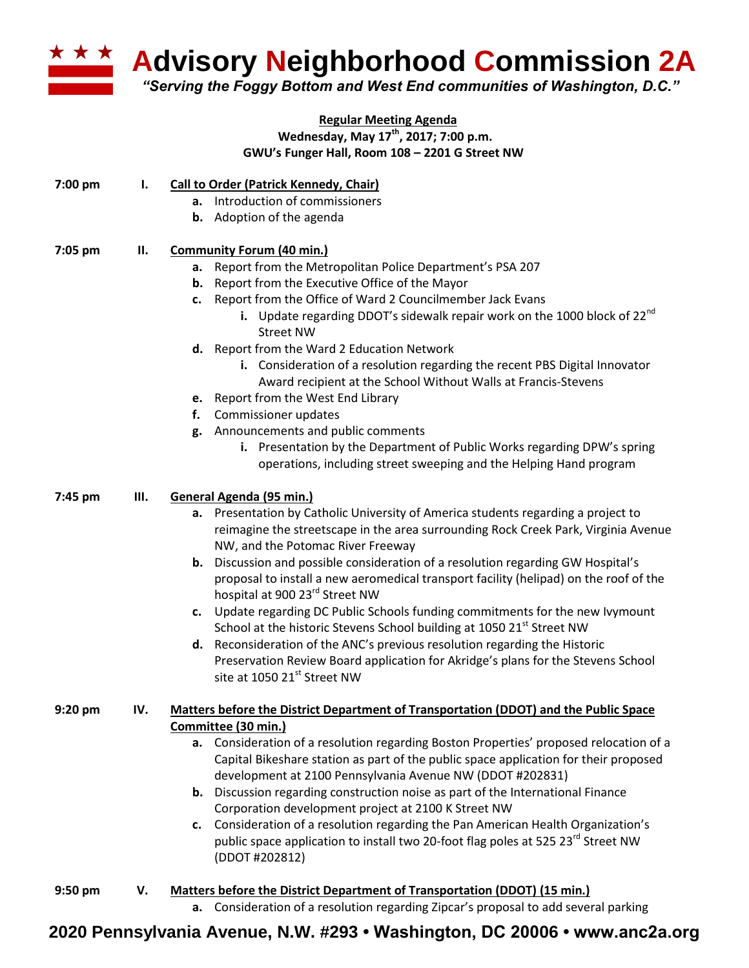

**Advisory Neighborhood Commission 2A** 

*"Serving the Foggy Bottom and West End communities of Washington, D.C."*

## **Regular Meeting Agenda Wednesday, May 17th , 2017; 7:00 p.m. GWU's Funger Hall, Room 108 – 2201 G Street NW**

| 7:00 pm   | Ι.  | <b>Call to Order (Patrick Kennedy, Chair)</b>                                                                                                                                  |
|-----------|-----|--------------------------------------------------------------------------------------------------------------------------------------------------------------------------------|
|           |     | a. Introduction of commissioners                                                                                                                                               |
|           |     | <b>b.</b> Adoption of the agenda                                                                                                                                               |
| 7:05 pm   | П.  | <b>Community Forum (40 min.)</b>                                                                                                                                               |
|           |     | a. Report from the Metropolitan Police Department's PSA 207                                                                                                                    |
|           |     | <b>b.</b> Report from the Executive Office of the Mayor                                                                                                                        |
|           |     | c. Report from the Office of Ward 2 Councilmember Jack Evans                                                                                                                   |
|           |     | i. Update regarding DDOT's sidewalk repair work on the 1000 block of $22^{nd}$<br><b>Street NW</b>                                                                             |
|           |     | d. Report from the Ward 2 Education Network                                                                                                                                    |
|           |     | i. Consideration of a resolution regarding the recent PBS Digital Innovator                                                                                                    |
|           |     | Award recipient at the School Without Walls at Francis-Stevens                                                                                                                 |
|           |     | e. Report from the West End Library                                                                                                                                            |
|           |     | Commissioner updates<br>f.                                                                                                                                                     |
|           |     | g. Announcements and public comments                                                                                                                                           |
|           |     | i. Presentation by the Department of Public Works regarding DPW's spring                                                                                                       |
|           |     | operations, including street sweeping and the Helping Hand program                                                                                                             |
| 7:45 pm   | Ш.  | General Agenda (95 min.)                                                                                                                                                       |
|           |     | a. Presentation by Catholic University of America students regarding a project to                                                                                              |
|           |     | reimagine the streetscape in the area surrounding Rock Creek Park, Virginia Avenue<br>NW, and the Potomac River Freeway                                                        |
|           |     | <b>b.</b> Discussion and possible consideration of a resolution regarding GW Hospital's                                                                                        |
|           |     | proposal to install a new aeromedical transport facility (helipad) on the roof of the<br>hospital at 900 23 <sup>rd</sup> Street NW                                            |
|           |     | Update regarding DC Public Schools funding commitments for the new Ivymount<br>c.                                                                                              |
|           |     | School at the historic Stevens School building at 1050 21 <sup>st</sup> Street NW                                                                                              |
|           |     | d. Reconsideration of the ANC's previous resolution regarding the Historic                                                                                                     |
|           |     | Preservation Review Board application for Akridge's plans for the Stevens School<br>site at 1050 21st Street NW                                                                |
| $9:20$ pm | IV. | Matters before the District Department of Transportation (DDOT) and the Public Space                                                                                           |
|           |     | Committee (30 min.)                                                                                                                                                            |
|           |     | a. Consideration of a resolution regarding Boston Properties' proposed relocation of a<br>Capital Bikeshare station as part of the public space application for their proposed |
|           |     | development at 2100 Pennsylvania Avenue NW (DDOT #202831)                                                                                                                      |
|           |     | <b>b.</b> Discussion regarding construction noise as part of the International Finance<br>Corporation development project at 2100 K Street NW                                  |
|           |     | c. Consideration of a resolution regarding the Pan American Health Organization's                                                                                              |
|           |     | public space application to install two 20-foot flag poles at 525 23 <sup>rd</sup> Street NW<br>(DDOT #202812)                                                                 |
|           |     |                                                                                                                                                                                |
| $9:50$ pm | V.  | Matters before the District Department of Transportation (DDOT) (15 min.)<br>a. Consideration of a resolution regarding Zipcar's proposal to add several parking               |